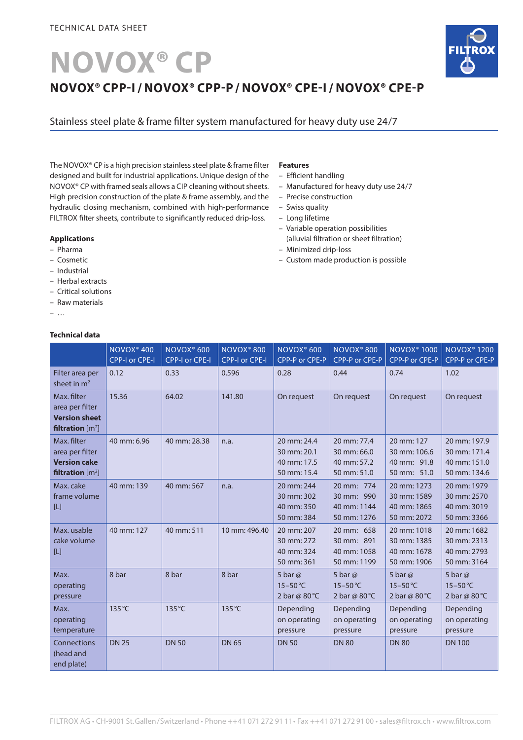# **NOVOX® CP**



Stainless steel plate & frame filter system manufactured for heavy duty use 24/7

The NOVOX® CP is a high precision stainless steel plate & frame filter designed and built for industrial applications. Unique design of the NOVOX® CP with framed seals allows a CIP cleaning without sheets. High precision construction of the plate & frame assembly, and the hydraulic closing mechanism, combined with high-performance FILTROX filter sheets, contribute to significantly reduced drip-loss.

#### **Applications**

- Pharma
- Cosmetic
- Industrial
- Herbal extracts
- Critical solutions
- Raw materials
- …

## **Technical data**

#### **Features**

- Efficient handling
- Manufactured for heavy duty use 24/7
- Precise construction
- Swiss quality
- Long lifetime
- Variable operation possibilities (alluvial filtration or sheet filtration)
- Minimized drip-loss
- Custom made production is possible

|                                                                              | NOVOX <sup>®</sup> 400<br><b>CPP-I or CPE-I</b> | NOVOX <sup>®</sup> 600<br>CPP-I or CPE-I | NOVOX <sup>®</sup> 800<br><b>CPP-I or CPE-I</b> | NOVOX <sup>®</sup> 600<br>CPP-P or CPE-P                 | NOVOX <sup>®</sup> 800<br>CPP-P or CPE-P                 | <b>NOVOX®1000</b><br>CPP-P or CPE-P                      | <b>NOVOX<sup>®</sup> 1200</b><br>CPP-P or CPE-P              |
|------------------------------------------------------------------------------|-------------------------------------------------|------------------------------------------|-------------------------------------------------|----------------------------------------------------------|----------------------------------------------------------|----------------------------------------------------------|--------------------------------------------------------------|
| Filter area per<br>sheet in $m2$                                             | 0.12                                            | 0.33                                     | 0.596                                           | 0.28                                                     | 0.44                                                     | 0.74                                                     | 1.02                                                         |
| Max. filter<br>area per filter<br><b>Version sheet</b><br>filtration $[m^2]$ | 15.36                                           | 64.02                                    | 141.80                                          | On request                                               | On request                                               | On request                                               | On request                                                   |
| Max. filter<br>area per filter<br><b>Version cake</b><br>filtration $[m^2]$  | 40 mm: 6.96                                     | 40 mm: 28.38                             | n.a.                                            | 20 mm: 24.4<br>30 mm: 20.1<br>40 mm: 17.5<br>50 mm: 15.4 | 20 mm: 77.4<br>30 mm: 66.0<br>40 mm: 57.2<br>50 mm: 51.0 | 20 mm: 127<br>30 mm: 106.6<br>40 mm: 91.8<br>50 mm: 51.0 | 20 mm: 197.9<br>30 mm: 171.4<br>40 mm: 151.0<br>50 mm: 134.6 |
| Max. cake<br>frame volume<br>$[$                                             | 40 mm: 139                                      | 40 mm: 567                               | n.a.                                            | 20 mm: 244<br>30 mm: 302<br>40 mm: 350<br>50 mm: 384     | 20 mm: 774<br>30 mm: 990<br>40 mm: 1144<br>50 mm: 1276   | 20 mm: 1273<br>30 mm: 1589<br>40 mm: 1865<br>50 mm: 2072 | 20 mm: 1979<br>30 mm: 2570<br>40 mm: 3019<br>50 mm: 3366     |
| Max. usable<br>cake volume<br>$[L]$                                          | 40 mm: 127                                      | 40 mm: 511                               | 10 mm: 496.40                                   | 20 mm: 207<br>30 mm: 272<br>40 mm: 324<br>50 mm: 361     | 20 mm: 658<br>30 mm: 891<br>40 mm: 1058<br>50 mm: 1199   | 20 mm: 1018<br>30 mm: 1385<br>40 mm: 1678<br>50 mm: 1906 | 20 mm: 1682<br>30 mm: 2313<br>40 mm: 2793<br>50 mm: 3164     |
| Max.<br>operating<br>pressure                                                | 8 bar                                           | 8 bar                                    | 8 bar                                           | 5 bar $@$<br>$15-50$ °C<br>2 bar @ $80^{\circ}$ C        | 5 bar $@$<br>$15-50$ °C<br>2 bar @ 80 °C                 | 5 bar $\omega$<br>$15-50$ °C<br>2 bar @ 80 °C            | 5 bar $@$<br>$15 - 50^{\circ}$ C<br>2 bar @ 80 °C            |
| Max.<br>operating<br>temperature                                             | 135 °C                                          | 135 °C                                   | $135^{\circ}$ C                                 | Depending<br>on operating<br>pressure                    | Depending<br>on operating<br>pressure                    | Depending<br>on operating<br>pressure                    | Depending<br>on operating<br>pressure                        |
| Connections<br>(head and<br>end plate)                                       | <b>DN 25</b>                                    | <b>DN 50</b>                             | <b>DN 65</b>                                    | <b>DN 50</b>                                             | <b>DN 80</b>                                             | <b>DN 80</b>                                             | <b>DN 100</b>                                                |

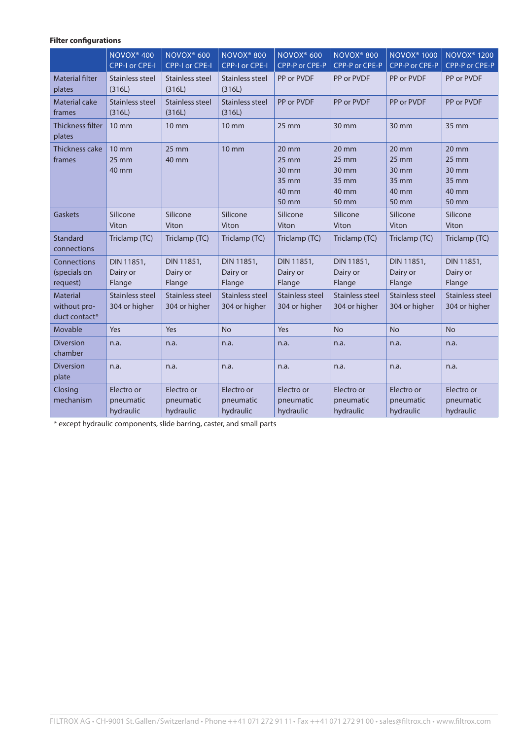## **Filter configurations**

|                                                  | NOVOX <sup>®</sup> 400<br>CPP-I or CPE-I      | NOVOX <sup>®</sup> 600<br>CPP-I or CPE-I | NOVOX <sup>®</sup> 800<br>CPP-I or CPE-I | NOVOX <sup>®</sup> 600<br>CPP-P or CPE-P                                   | <b>NOVOX® 800</b><br>CPP-P or CPE-P                                      | <b>NOVOX<sup>®</sup> 1000</b><br>CPP-P or CPE-P                          | <b>NOVOX<sup>®</sup> 1200</b><br>CPP-P or CPE-P                                        |
|--------------------------------------------------|-----------------------------------------------|------------------------------------------|------------------------------------------|----------------------------------------------------------------------------|--------------------------------------------------------------------------|--------------------------------------------------------------------------|----------------------------------------------------------------------------------------|
| <b>Material filter</b><br>plates                 | <b>Stainless steel</b><br>(316L)              | <b>Stainless steel</b><br>(316L)         | <b>Stainless steel</b><br>(316L)         | PP or PVDF                                                                 | PP or PVDF                                                               | PP or PVDF                                                               | PP or PVDF                                                                             |
| <b>Material cake</b><br>frames                   | Stainless steel<br>(316L)                     | Stainless steel<br>(316L)                | Stainless steel<br>(316L)                | PP or PVDF                                                                 | PP or PVDF                                                               | PP or PVDF                                                               | PP or PVDF                                                                             |
| <b>Thickness filter</b><br>plates                | $10 \text{ mm}$                               | $10 \text{ mm}$                          | <b>10 mm</b>                             | $25 \text{ mm}$                                                            | 30 mm                                                                    | 30 mm                                                                    | 35 mm                                                                                  |
| Thickness cake<br>frames                         | $10 \text{ mm}$<br>$25 \, \text{mm}$<br>40 mm | $25 \, \text{mm}$<br>40 mm               | $10 \text{ mm}$                          | $20 \, \text{mm}$<br>$25 \, \text{mm}$<br>30 mm<br>35 mm<br>40 mm<br>50 mm | $20 \, \text{mm}$<br>$25 \text{ mm}$<br>30 mm<br>35 mm<br>40 mm<br>50 mm | $20 \, \text{mm}$<br>$25 \text{ mm}$<br>30 mm<br>35 mm<br>40 mm<br>50 mm | $20 \, \text{mm}$<br>$25 \, \text{mm}$<br>$30 \, \text{mm}$<br>35 mm<br>40 mm<br>50 mm |
| Gaskets                                          | Silicone<br>Viton                             | Silicone<br>Viton                        | Silicone<br>Viton                        | Silicone<br>Viton                                                          | Silicone<br>Viton                                                        | Silicone<br>Viton                                                        | Silicone<br>Viton                                                                      |
| Standard<br>connections                          | Triclamp (TC)                                 | Triclamp (TC)                            | Triclamp (TC)                            | Triclamp (TC)                                                              | Triclamp (TC)                                                            | Triclamp (TC)                                                            | Triclamp (TC)                                                                          |
| Connections<br>(specials on<br>request)          | DIN 11851.<br>Dairy or<br>Flange              | DIN 11851.<br>Dairy or<br>Flange         | DIN 11851.<br>Dairy or<br>Flange         | DIN 11851.<br>Dairy or<br>Flange                                           | DIN 11851,<br>Dairy or<br>Flange                                         | DIN 11851.<br>Dairy or<br>Flange                                         | DIN 11851,<br>Dairy or<br>Flange                                                       |
| <b>Material</b><br>without pro-<br>duct contact* | Stainless steel<br>304 or higher              | Stainless steel<br>304 or higher         | Stainless steel<br>304 or higher         | Stainless steel<br>304 or higher                                           | Stainless steel<br>304 or higher                                         | Stainless steel<br>304 or higher                                         | Stainless steel<br>304 or higher                                                       |
| Movable                                          | Yes                                           | Yes                                      | <b>No</b>                                | Yes                                                                        | <b>No</b>                                                                | <b>No</b>                                                                | <b>No</b>                                                                              |
| <b>Diversion</b><br>chamber                      | n.a.                                          | n.a.                                     | n.a.                                     | n.a.                                                                       | n.a.                                                                     | n.a.                                                                     | n.a.                                                                                   |
| <b>Diversion</b><br>plate                        | n.a.                                          | n.a.                                     | n.a.                                     | n.a.                                                                       | n.a.                                                                     | n.a.                                                                     | n.a.                                                                                   |
| Closing<br>mechanism                             | Electro or<br>pneumatic<br>hydraulic          | Electro or<br>pneumatic<br>hydraulic     | Electro or<br>pneumatic<br>hydraulic     | Electro or<br>pneumatic<br>hydraulic                                       | Electro or<br>pneumatic<br>hydraulic                                     | Electro or<br>pneumatic<br>hydraulic                                     | Electro or<br>pneumatic<br>hydraulic                                                   |

\* except hydraulic components, slide barring, caster, and small parts